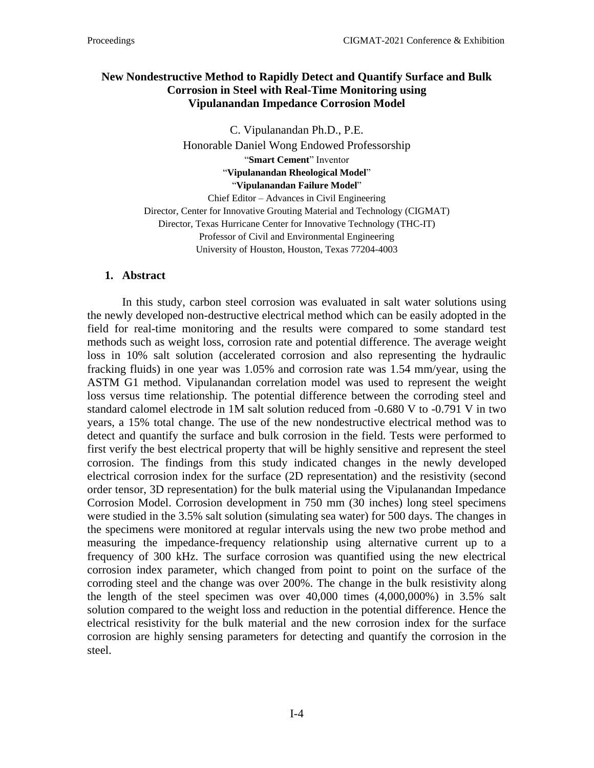#### **New Nondestructive Method to Rapidly Detect and Quantify Surface and Bulk Corrosion in Steel with Real-Time Monitoring using Vipulanandan Impedance Corrosion Model**

C. Vipulanandan Ph.D., P.E. Honorable Daniel Wong Endowed Professorship "**Smart Cement**" Inventor "**Vipulanandan Rheological Model**" "**Vipulanandan Failure Model**" Chief Editor – Advances in Civil Engineering Director, Center for Innovative Grouting Material and Technology (CIGMAT)

Director, Texas Hurricane Center for Innovative Technology (THC-IT) Professor of Civil and Environmental Engineering University of Houston, Houston, Texas 77204-4003

#### **1. Abstract**

In this study, carbon steel corrosion was evaluated in salt water solutions using the newly developed non-destructive electrical method which can be easily adopted in the field for real-time monitoring and the results were compared to some standard test methods such as weight loss, corrosion rate and potential difference. The average weight loss in 10% salt solution (accelerated corrosion and also representing the hydraulic fracking fluids) in one year was 1.05% and corrosion rate was 1.54 mm/year, using the ASTM G1 method. Vipulanandan correlation model was used to represent the weight loss versus time relationship. The potential difference between the corroding steel and standard calomel electrode in 1M salt solution reduced from -0.680 V to -0.791 V in two years, a 15% total change. The use of the new nondestructive electrical method was to detect and quantify the surface and bulk corrosion in the field. Tests were performed to first verify the best electrical property that will be highly sensitive and represent the steel corrosion. The findings from this study indicated changes in the newly developed electrical corrosion index for the surface (2D representation) and the resistivity (second order tensor, 3D representation) for the bulk material using the Vipulanandan Impedance Corrosion Model. Corrosion development in 750 mm (30 inches) long steel specimens were studied in the 3.5% salt solution (simulating sea water) for 500 days. The changes in the specimens were monitored at regular intervals using the new two probe method and measuring the impedance-frequency relationship using alternative current up to a frequency of 300 kHz. The surface corrosion was quantified using the new electrical corrosion index parameter, which changed from point to point on the surface of the corroding steel and the change was over 200%. The change in the bulk resistivity along the length of the steel specimen was over 40,000 times (4,000,000%) in 3.5% salt solution compared to the weight loss and reduction in the potential difference. Hence the electrical resistivity for the bulk material and the new corrosion index for the surface corrosion are highly sensing parameters for detecting and quantify the corrosion in the steel.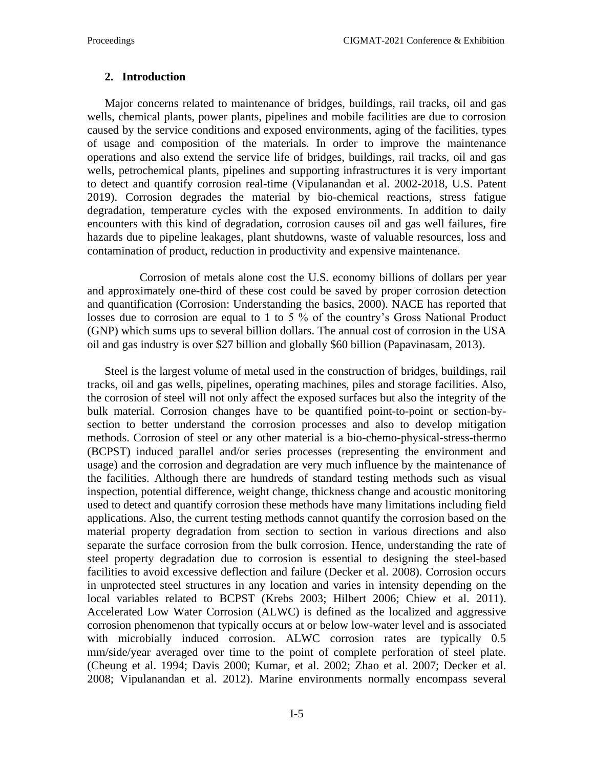# **2. Introduction**

Major concerns related to maintenance of bridges, buildings, rail tracks, oil and gas wells, chemical plants, power plants, pipelines and mobile facilities are due to corrosion caused by the service conditions and exposed environments, aging of the facilities, types of usage and composition of the materials. In order to improve the maintenance operations and also extend the service life of bridges, buildings, rail tracks, oil and gas wells, petrochemical plants, pipelines and supporting infrastructures it is very important to detect and quantify corrosion real-time (Vipulanandan et al. 2002-2018, U.S. Patent 2019). Corrosion degrades the material by bio-chemical reactions, stress fatigue degradation, temperature cycles with the exposed environments. In addition to daily encounters with this kind of degradation, corrosion causes oil and gas well failures, fire hazards due to pipeline leakages, plant shutdowns, waste of valuable resources, loss and contamination of product, reduction in productivity and expensive maintenance.

 Corrosion of metals alone cost the U.S. economy billions of dollars per year and approximately one-third of these cost could be saved by proper corrosion detection and quantification (Corrosion: Understanding the basics, 2000). NACE has reported that losses due to corrosion are equal to 1 to 5 % of the country's Gross National Product (GNP) which sums ups to several billion dollars. The annual cost of corrosion in the USA oil and gas industry is over \$27 billion and globally \$60 billion (Papavinasam, 2013).

Steel is the largest volume of metal used in the construction of bridges, buildings, rail tracks, oil and gas wells, pipelines, operating machines, piles and storage facilities. Also, the corrosion of steel will not only affect the exposed surfaces but also the integrity of the bulk material. Corrosion changes have to be quantified point-to-point or section-bysection to better understand the corrosion processes and also to develop mitigation methods. Corrosion of steel or any other material is a bio-chemo-physical-stress-thermo (BCPST) induced parallel and/or series processes (representing the environment and usage) and the corrosion and degradation are very much influence by the maintenance of the facilities. Although there are hundreds of standard testing methods such as visual inspection, potential difference, weight change, thickness change and acoustic monitoring used to detect and quantify corrosion these methods have many limitations including field applications. Also, the current testing methods cannot quantify the corrosion based on the material property degradation from section to section in various directions and also separate the surface corrosion from the bulk corrosion. Hence, understanding the rate of steel property degradation due to corrosion is essential to designing the steel-based facilities to avoid excessive deflection and failure (Decker et al. 2008). Corrosion occurs in unprotected steel structures in any location and varies in intensity depending on the local variables related to BCPST (Krebs 2003; Hilbert 2006; Chiew et al. 2011). Accelerated Low Water Corrosion (ALWC) is defined as the localized and aggressive corrosion phenomenon that typically occurs at or below low-water level and is associated with microbially induced corrosion. ALWC corrosion rates are typically  $0.5$ mm/side/year averaged over time to the point of complete perforation of steel plate. (Cheung et al. 1994; Davis 2000; Kumar, et al. 2002; Zhao et al. 2007; Decker et al. 2008; Vipulanandan et al. 2012). Marine environments normally encompass several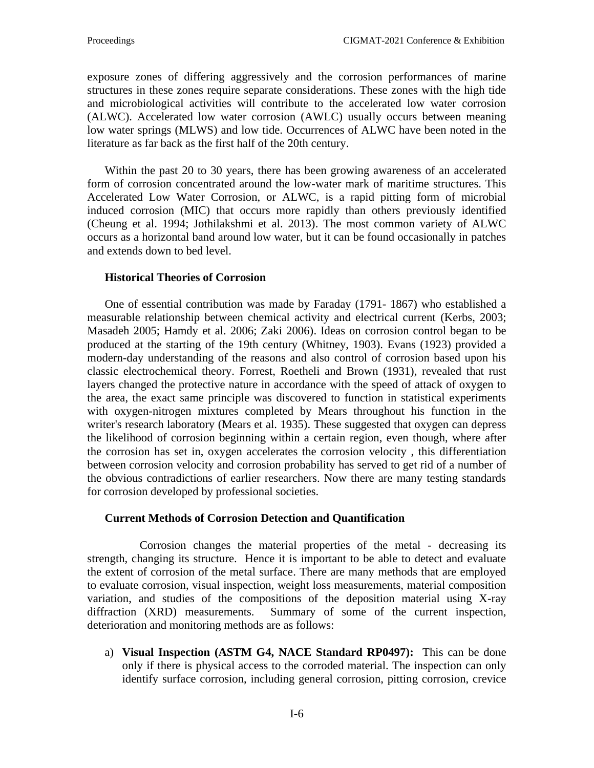exposure zones of differing aggressively and the corrosion performances of marine structures in these zones require separate considerations. These zones with the high tide and microbiological activities will contribute to the accelerated low water corrosion (ALWC). Accelerated low water corrosion (AWLC) usually occurs between meaning low water springs (MLWS) and low tide. Occurrences of ALWC have been noted in the literature as far back as the first half of the 20th century.

Within the past 20 to 30 years, there has been growing awareness of an accelerated form of corrosion concentrated around the low-water mark of maritime structures. This Accelerated Low Water Corrosion, or ALWC, is a rapid pitting form of microbial induced corrosion (MIC) that occurs more rapidly than others previously identified (Cheung et al. 1994; Jothilakshmi et al. 2013). The most common variety of ALWC occurs as a horizontal band around low water, but it can be found occasionally in patches and extends down to bed level.

#### **Historical Theories of Corrosion**

One of essential contribution was made by Faraday (1791- 1867) who established a measurable relationship between chemical activity and electrical current (Kerbs, 2003; Masadeh 2005; Hamdy et al. 2006; Zaki 2006). Ideas on corrosion control began to be produced at the starting of the 19th century (Whitney, 1903). Evans (1923) provided a modern-day understanding of the reasons and also control of corrosion based upon his classic electrochemical theory. Forrest, Roetheli and Brown (1931), revealed that rust layers changed the protective nature in accordance with the speed of attack of oxygen to the area, the exact same principle was discovered to function in statistical experiments with oxygen-nitrogen mixtures completed by Mears throughout his function in the writer's research laboratory (Mears et al. 1935). These suggested that oxygen can depress the likelihood of corrosion beginning within a certain region, even though, where after the corrosion has set in, oxygen accelerates the corrosion velocity , this differentiation between corrosion velocity and corrosion probability has served to get rid of a number of the obvious contradictions of earlier researchers. Now there are many testing standards for corrosion developed by professional societies.

#### **Current Methods of Corrosion Detection and Quantification**

 Corrosion changes the material properties of the metal - decreasing its strength, changing its structure. Hence it is important to be able to detect and evaluate the extent of corrosion of the metal surface. There are many methods that are employed to evaluate corrosion, visual inspection, weight loss measurements, material composition variation, and studies of the compositions of the deposition material using X-ray diffraction (XRD) measurements. Summary of some of the current inspection, deterioration and monitoring methods are as follows:

a) **Visual Inspection (ASTM G4, NACE Standard RP0497):** This can be done only if there is physical access to the corroded material. The inspection can only identify surface corrosion, including general corrosion, pitting corrosion, crevice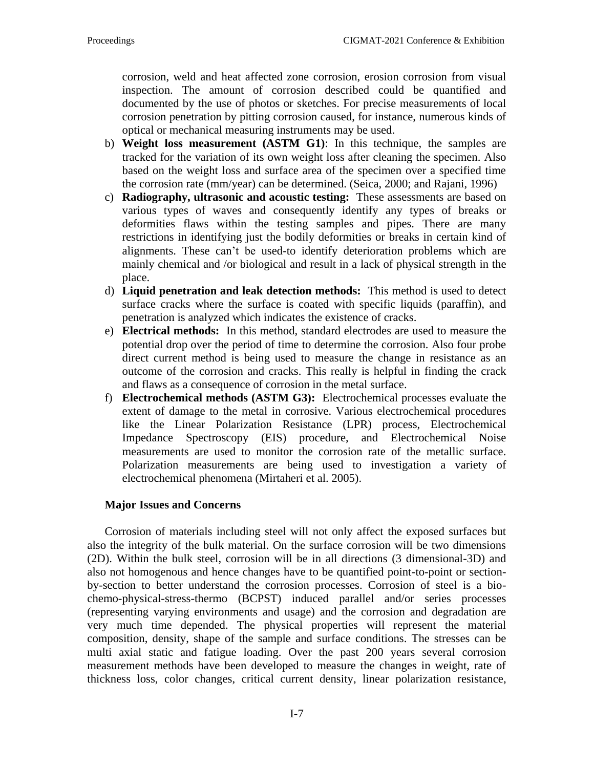corrosion, weld and heat affected zone corrosion, erosion corrosion from visual inspection. The amount of corrosion described could be quantified and documented by the use of photos or sketches. For precise measurements of local corrosion penetration by pitting corrosion caused, for instance, numerous kinds of optical or mechanical measuring instruments may be used.

- b) **Weight loss measurement (ASTM G1)**: In this technique, the samples are tracked for the variation of its own weight loss after cleaning the specimen. Also based on the weight loss and surface area of the specimen over a specified time the corrosion rate (mm/year) can be determined. (Seica, 2000; and Rajani, 1996)
- c) **Radiography, ultrasonic and acoustic testing:** These assessments are based on various types of waves and consequently identify any types of breaks or deformities flaws within the testing samples and pipes. There are many restrictions in identifying just the bodily deformities or breaks in certain kind of alignments. These can't be used-to identify deterioration problems which are mainly chemical and /or biological and result in a lack of physical strength in the place.
- d) **Liquid penetration and leak detection methods:** This method is used to detect surface cracks where the surface is coated with specific liquids (paraffin), and penetration is analyzed which indicates the existence of cracks.
- e) **Electrical methods:** In this method, standard electrodes are used to measure the potential drop over the period of time to determine the corrosion. Also four probe direct current method is being used to measure the change in resistance as an outcome of the corrosion and cracks. This really is helpful in finding the crack and flaws as a consequence of corrosion in the metal surface.
- f) **Electrochemical methods (ASTM G3):** Electrochemical processes evaluate the extent of damage to the metal in corrosive. Various electrochemical procedures like the Linear Polarization Resistance (LPR) process, Electrochemical Impedance Spectroscopy (EIS) procedure, and Electrochemical Noise measurements are used to monitor the corrosion rate of the metallic surface. Polarization measurements are being used to investigation a variety of electrochemical phenomena (Mirtaheri et al. 2005).

# **Major Issues and Concerns**

Corrosion of materials including steel will not only affect the exposed surfaces but also the integrity of the bulk material. On the surface corrosion will be two dimensions (2D). Within the bulk steel, corrosion will be in all directions (3 dimensional-3D) and also not homogenous and hence changes have to be quantified point-to-point or sectionby-section to better understand the corrosion processes. Corrosion of steel is a biochemo-physical-stress-thermo (BCPST) induced parallel and/or series processes (representing varying environments and usage) and the corrosion and degradation are very much time depended. The physical properties will represent the material composition, density, shape of the sample and surface conditions. The stresses can be multi axial static and fatigue loading. Over the past 200 years several corrosion measurement methods have been developed to measure the changes in weight, rate of thickness loss, color changes, critical current density, linear polarization resistance,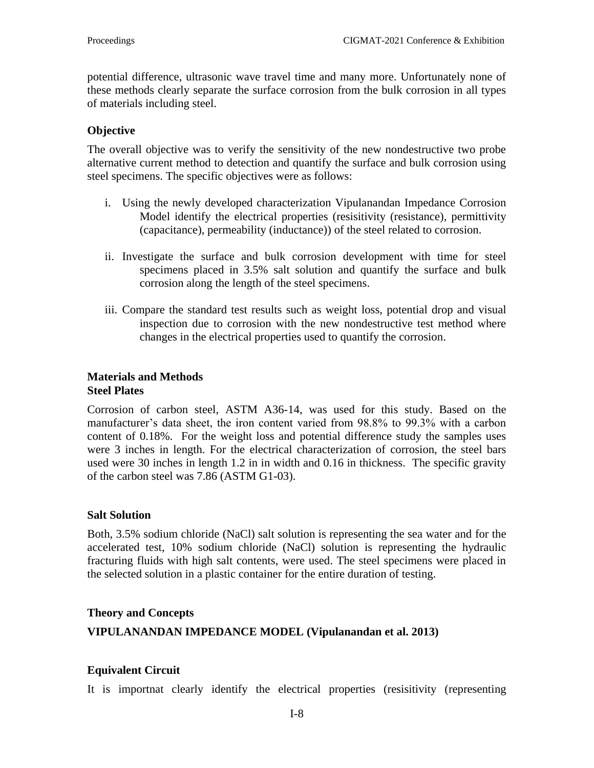potential difference, ultrasonic wave travel time and many more. Unfortunately none of these methods clearly separate the surface corrosion from the bulk corrosion in all types of materials including steel.

# **Objective**

The overall objective was to verify the sensitivity of the new nondestructive two probe alternative current method to detection and quantify the surface and bulk corrosion using steel specimens. The specific objectives were as follows:

- i. Using the newly developed characterization Vipulanandan Impedance Corrosion Model identify the electrical properties (resisitivity (resistance), permittivity (capacitance), permeability (inductance)) of the steel related to corrosion.
- ii. Investigate the surface and bulk corrosion development with time for steel specimens placed in 3.5% salt solution and quantify the surface and bulk corrosion along the length of the steel specimens.
- iii. Compare the standard test results such as weight loss, potential drop and visual inspection due to corrosion with the new nondestructive test method where changes in the electrical properties used to quantify the corrosion.

#### **Materials and Methods Steel Plates**

Corrosion of carbon steel, ASTM A36-14, was used for this study. Based on the manufacturer's data sheet, the iron content varied from 98.8% to 99.3% with a carbon content of 0.18%. For the weight loss and potential difference study the samples uses were 3 inches in length. For the electrical characterization of corrosion, the steel bars used were 30 inches in length 1.2 in in width and 0.16 in thickness. The specific gravity of the carbon steel was 7.86 (ASTM G1-03).

# **Salt Solution**

Both, 3.5% sodium chloride (NaCl) salt solution is representing the sea water and for the accelerated test, 10% sodium chloride (NaCl) solution is representing the hydraulic fracturing fluids with high salt contents, were used. The steel specimens were placed in the selected solution in a plastic container for the entire duration of testing.

# **Theory and Concepts**

# **VIPULANANDAN IMPEDANCE MODEL (Vipulanandan et al. 2013)**

# **Equivalent Circuit**

It is importnat clearly identify the electrical properties (resisitivity (representing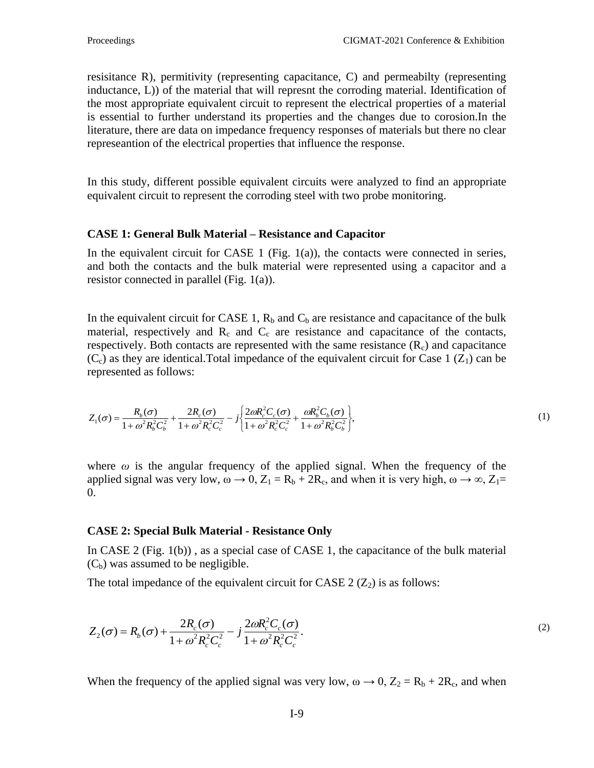resisitance R), permitivity (representing capacitance, C) and permeabilty (representing inductance, L)) of the material that will represnt the corroding material. Identification of the most appropriate equivalent circuit to represent the electrical properties of a material is essential to further understand its properties and the changes due to corosion.In the literature, there are data on impedance frequency responses of materials but there no clear represeantion of the electrical properties that influence the response.

In this study, different possible equivalent circuits were analyzed to find an appropriate equivalent circuit to represent the corroding steel with two probe monitoring.

#### **CASE 1: General Bulk Material – Resistance and Capacitor**

In the equivalent circuit for CASE 1 (Fig. 1(a)), the contacts were connected in series, and both the contacts and the bulk material were represented using a capacitor and a resistor connected in parallel (Fig. 1(a)).

In the equivalent circuit for CASE 1,  $R_b$  and  $C_b$  are resistance and capacitance of the bulk material, respectively and  $R_c$  and  $C_c$  are resistance and capacitance of the contacts, respectively. Both contacts are represented with the same resistance  $(R_c)$  and capacitance  $(C_c)$  as they are identical. Total impedance of the equivalent circuit for Case 1  $(Z_1)$  can be represented as follows:

$$
Z_1(\sigma) = \frac{R_b(\sigma)}{1 + \omega^2 R_b^2 C_b^2} + \frac{2R_c(\sigma)}{1 + \omega^2 R_c^2 C_c^2} - j \left\{ \frac{2\omega R_c^2 C_c(\sigma)}{1 + \omega^2 R_c^2 C_c^2} + \frac{\omega R_b^2 C_b(\sigma)}{1 + \omega^2 R_b^2 C_b^2} \right\},
$$
(1)

where  $\omega$  is the angular frequency of the applied signal. When the frequency of the applied signal was very low,  $\omega \rightarrow 0$ ,  $Z_1 = R_b + 2R_c$ , and when it is very high,  $\omega \rightarrow \infty$ ,  $Z_1 =$ 0.

#### **CASE 2: Special Bulk Material - Resistance Only**

In CASE 2 (Fig. 1(b)) , as a special case of CASE 1, the capacitance of the bulk material  $(C_b)$  was assumed to be negligible.

The total impedance of the equivalent circuit for CASE 2  $(Z_2)$  is as follows:

$$
Z_2(\sigma) = R_b(\sigma) + \frac{2R_c(\sigma)}{1 + \omega^2 R_c^2 C_c^2} - j\frac{2\omega R_c^2 C_c(\sigma)}{1 + \omega^2 R_c^2 C_c^2}.
$$
\n(2)

When the frequency of the applied signal was very low,  $\omega \rightarrow 0$ ,  $Z_2 = R_b + 2R_c$ , and when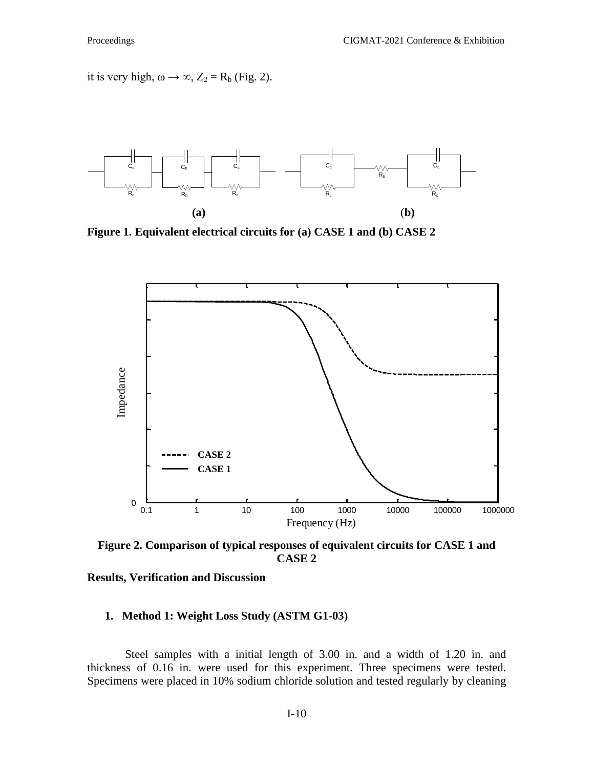it is very high,  $\omega \rightarrow \infty$ ,  $Z_2 = R_b$  (Fig. 2).



**Figure 1. Equivalent electrical circuits for (a) CASE 1 and (b) CASE 2**



**Figure 2. Comparison of typical responses of equivalent circuits for CASE 1 and CASE 2**

**Results, Verification and Discussion**

#### **1. Method 1: Weight Loss Study (ASTM G1-03)**

 Steel samples with a initial length of 3.00 in. and a width of 1.20 in. and thickness of 0.16 in. were used for this experiment. Three specimens were tested. Specimens were placed in 10% sodium chloride solution and tested regularly by cleaning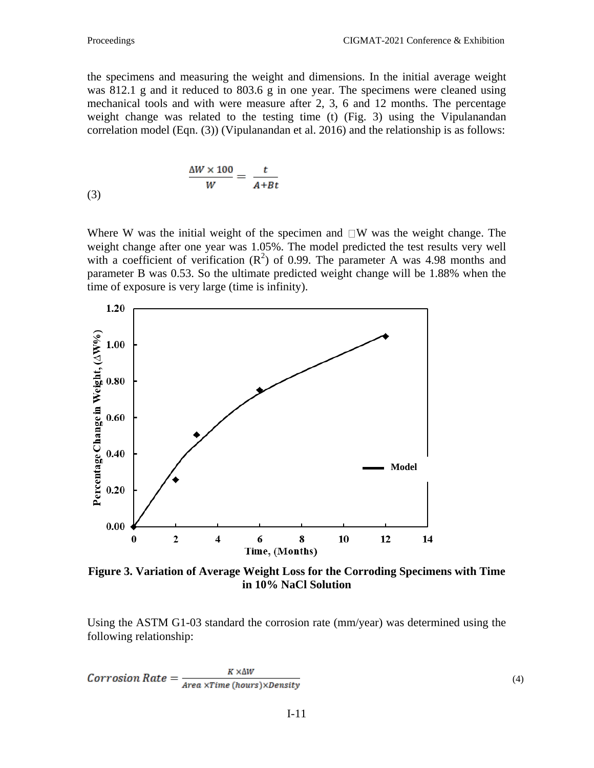the specimens and measuring the weight and dimensions. In the initial average weight was 812.1 g and it reduced to 803.6 g in one year. The specimens were cleaned using mechanical tools and with were measure after 2, 3, 6 and 12 months. The percentage weight change was related to the testing time (t) (Fig. 3) using the Vipulanandan correlation model (Eqn. (3)) (Vipulanandan et al. 2016) and the relationship is as follows:

$$
\frac{\Delta W \times 100}{W} = \frac{t}{A+Bt}
$$

Where W was the initial weight of the specimen and  $\Box W$  was the weight change. The weight change after one year was 1.05%. The model predicted the test results very well with a coefficient of verification  $(R^2)$  of 0.99. The parameter A was 4.98 months and parameter B was 0.53. So the ultimate predicted weight change will be 1.88% when the time of exposure is very large (time is infinity).



**Figure 3. Variation of Average Weight Loss for the Corroding Specimens with Time in 10% NaCl Solution**

Using the ASTM G1-03 standard the corrosion rate (mm/year) was determined using the following relationship:

 $K \times \Delta W$ *Corrosion Rate* =  $\frac{K \times \Delta W}{Area \times Time \ (hours) \times Density}$ 

(4)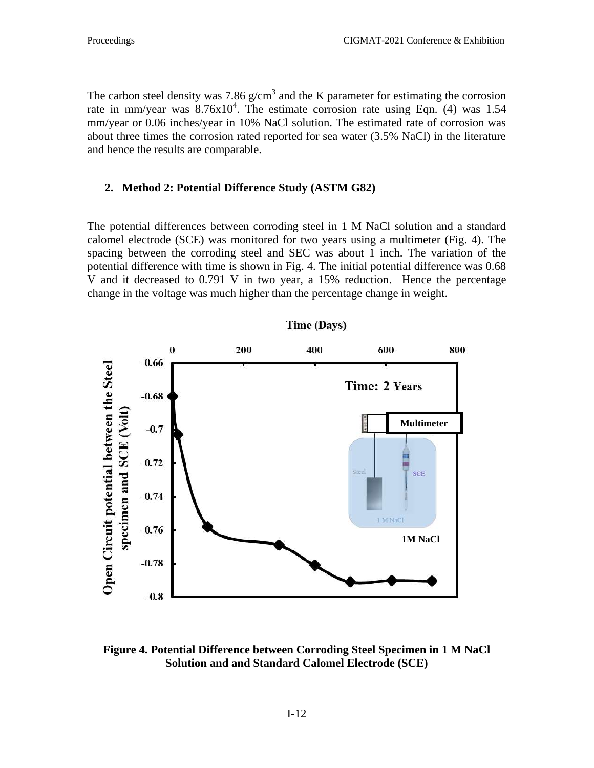The carbon steel density was 7.86  $g/cm<sup>3</sup>$  and the K parameter for estimating the corrosion rate in mm/year was  $8.76x10^4$ . The estimate corrosion rate using Eqn. (4) was 1.54 mm/year or 0.06 inches/year in 10% NaCl solution. The estimated rate of corrosion was about three times the corrosion rated reported for sea water (3.5% NaCl) in the literature and hence the results are comparable.

#### **2. Method 2: Potential Difference Study (ASTM G82)**

The potential differences between corroding steel in 1 M NaCl solution and a standard calomel electrode (SCE) was monitored for two years using a multimeter (Fig. 4). The spacing between the corroding steel and SEC was about 1 inch. The variation of the potential difference with time is shown in Fig. 4. The initial potential difference was 0.68 V and it decreased to 0.791 V in two year, a 15% reduction. Hence the percentage change in the voltage was much higher than the percentage change in weight.



Time (Days)

**Figure 4. Potential Difference between Corroding Steel Specimen in 1 M NaCl Solution and and Standard Calomel Electrode (SCE)**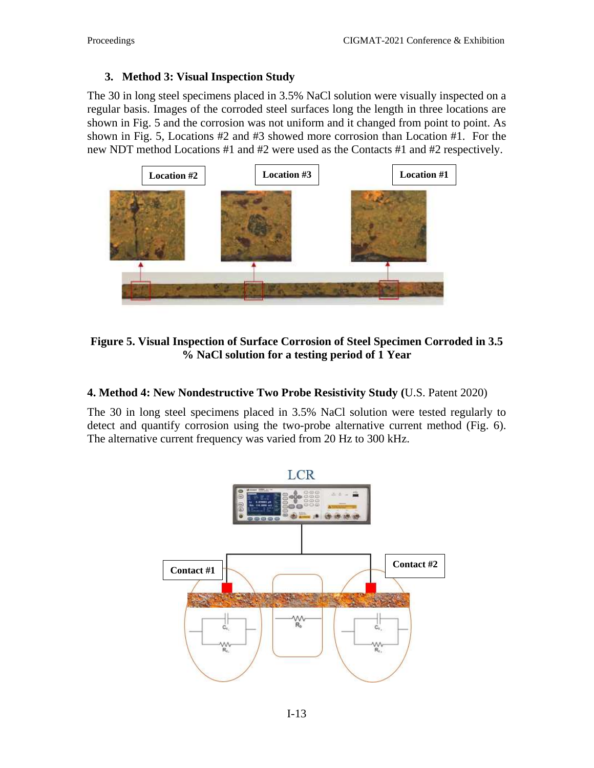# **3. Method 3: Visual Inspection Study**

The 30 in long steel specimens placed in 3.5% NaCl solution were visually inspected on a regular basis. Images of the corroded steel surfaces long the length in three locations are shown in Fig. 5 and the corrosion was not uniform and it changed from point to point. As shown in Fig. 5, Locations #2 and #3 showed more corrosion than Location #1. For the new NDT method Locations #1 and #2 were used as the Contacts #1 and #2 respectively.



# **Figure 5. Visual Inspection of Surface Corrosion of Steel Specimen Corroded in 3.5 % NaCl solution for a testing period of 1 Year**

# **4. Method 4: New Nondestructive Two Probe Resistivity Study (**U.S. Patent 2020)

The 30 in long steel specimens placed in 3.5% NaCl solution were tested regularly to detect and quantify corrosion using the two-probe alternative current method (Fig. 6). The alternative current frequency was varied from 20 Hz to 300 kHz.

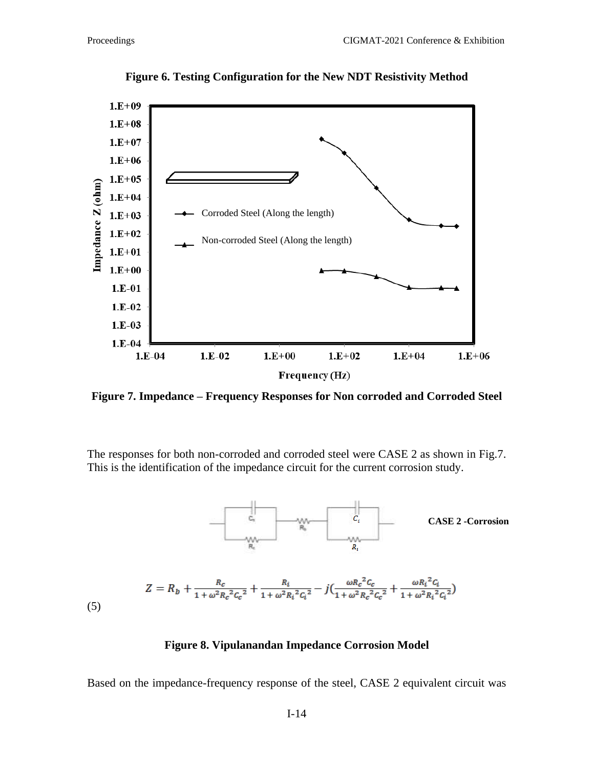

**Figure 6. Testing Configuration for the New NDT Resistivity Method**

**Figure 7. Impedance – Frequency Responses for Non corroded and Corroded Steel**

The responses for both non-corroded and corroded steel were CASE 2 as shown in Fig.7. This is the identification of the impedance circuit for the current corrosion study.



#### **Figure 8. Vipulanandan Impedance Corrosion Model**

Based on the impedance-frequency response of the steel, CASE 2 equivalent circuit was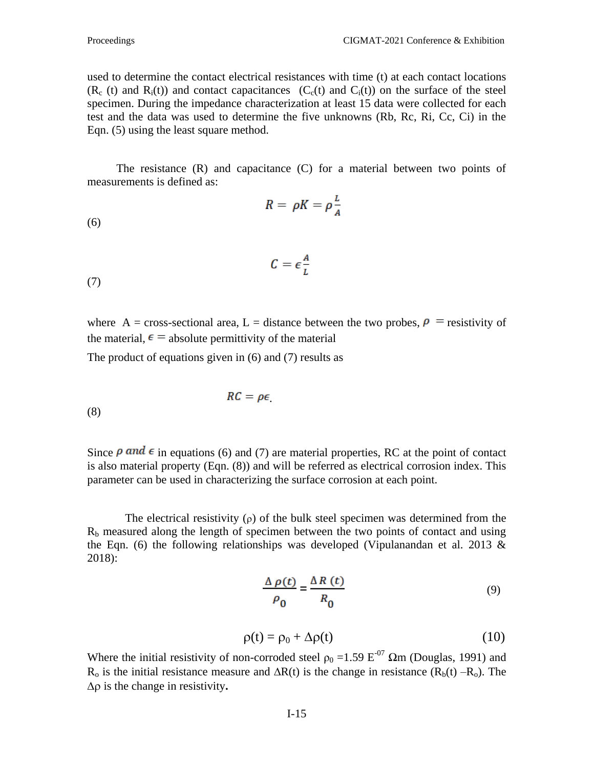used to determine the contact electrical resistances with time (t) at each contact locations  $(R_c (t)$  and  $R_i(t)$  and contact capacitances  $(C_c(t)$  and  $C_i(t)$  on the surface of the steel specimen. During the impedance characterization at least 15 data were collected for each test and the data was used to determine the five unknowns (Rb, Rc, Ri, Cc, Ci) in the Eqn. (5) using the least square method.

The resistance  $(R)$  and capacitance  $(C)$  for a material between two points of measurements is defined as:

$$
R = \rho K = \rho \frac{L}{A}
$$

(6)

(7)

where A = cross-sectional area, L = distance between the two probes,  $\rho$  = resistivity of the material,  $\epsilon$  = absolute permittivity of the material

 $C = \epsilon \frac{A}{I}$ 

The product of equations given in (6) and (7) results as

(8)

Since  $\rho$  and  $\epsilon$  in equations (6) and (7) are material properties, RC at the point of contact

 $RC = \rho \epsilon$ 

is also material property (Eqn. (8)) and will be referred as electrical corrosion index. This parameter can be used in characterizing the surface corrosion at each point.

The electrical resistivity ( $\rho$ ) of the bulk steel specimen was determined from the  $R<sub>b</sub>$  measured along the length of specimen between the two points of contact and using the Eqn. (6) the following relationships was developed (Vipulanandan et al. 2013  $\&$ 2018):

$$
\frac{\Delta \rho(t)}{\rho_0} = \frac{\Delta R(t)}{R_0}
$$
(9)

$$
\rho(t) = \rho_0 + \Delta \rho(t) \tag{10}
$$

Where the initial resistivity of non-corroded steel  $\rho_0 = 1.59 \text{ E}^{-07} \Omega \text{m}$  (Douglas, 1991) and  $R_0$  is the initial resistance measure and  $\Delta R(t)$  is the change in resistance  $(R_b(t) - R_o)$ . The  $\Delta \rho$  is the change in resistivity.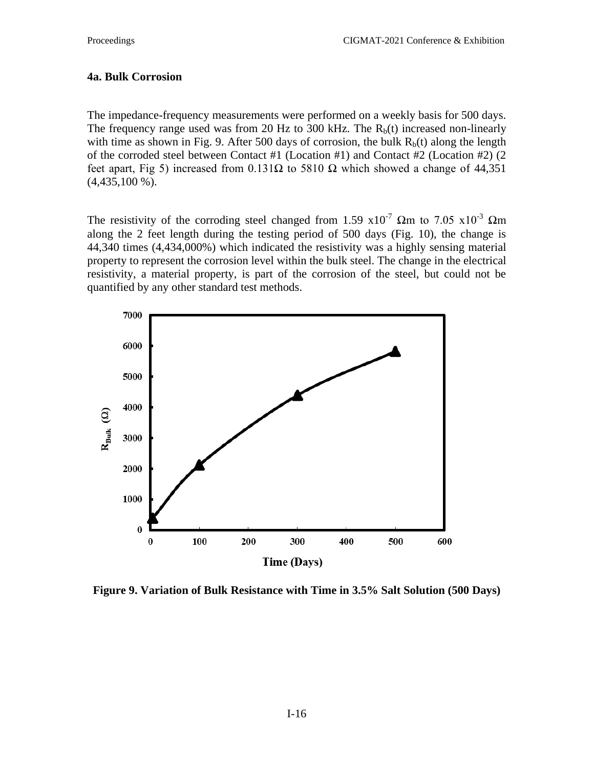#### **4a. Bulk Corrosion**

The impedance-frequency measurements were performed on a weekly basis for 500 days. The frequency range used was from 20 Hz to 300 kHz. The  $R<sub>b</sub>(t)$  increased non-linearly with time as shown in Fig. 9. After 500 days of corrosion, the bulk  $R<sub>b</sub>(t)$  along the length of the corroded steel between Contact #1 (Location #1) and Contact #2 (Location #2) (2 feet apart, Fig 5) increased from 0.131 $\Omega$  to 5810  $\Omega$  which showed a change of 44,351  $(4,435,100\%).$ 

The resistivity of the corroding steel changed from 1.59 x10<sup>-7</sup>  $\Omega$ m to 7.05 x10<sup>-3</sup>  $\Omega$ m along the 2 feet length during the testing period of 500 days (Fig. 10), the change is 44,340 times (4,434,000%) which indicated the resistivity was a highly sensing material property to represent the corrosion level within the bulk steel. The change in the electrical resistivity, a material property, is part of the corrosion of the steel, but could not be quantified by any other standard test methods.



**Figure 9. Variation of Bulk Resistance with Time in 3.5% Salt Solution (500 Days)**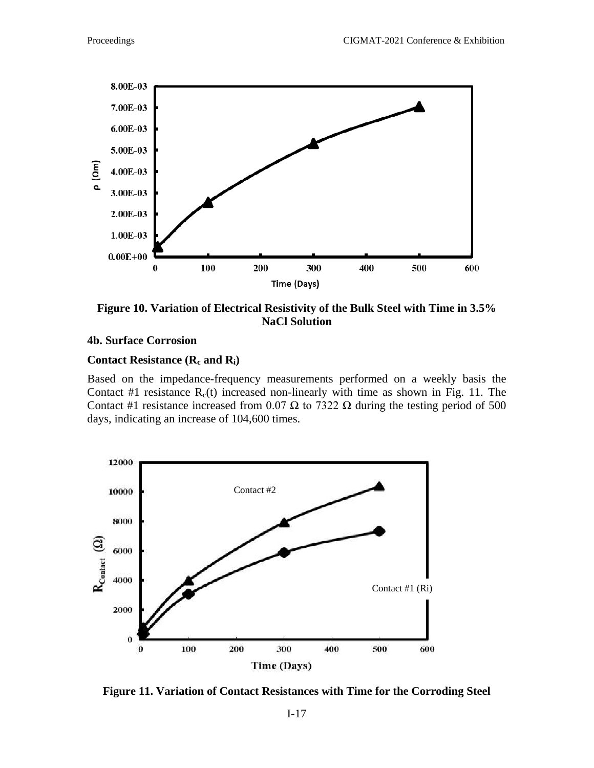

**Figure 10. Variation of Electrical Resistivity of the Bulk Steel with Time in 3.5% NaCl Solution**

#### **4b. Surface Corrosion**

#### **Contact Resistance (R<sup>c</sup> and Ri)**

Based on the impedance-frequency measurements performed on a weekly basis the Contact #1 resistance  $R_c(t)$  increased non-linearly with time as shown in Fig. 11. The Contact #1 resistance increased from 0.07  $\Omega$  to 7322  $\Omega$  during the testing period of 500 days, indicating an increase of 104,600 times.



**Figure 11. Variation of Contact Resistances with Time for the Corroding Steel**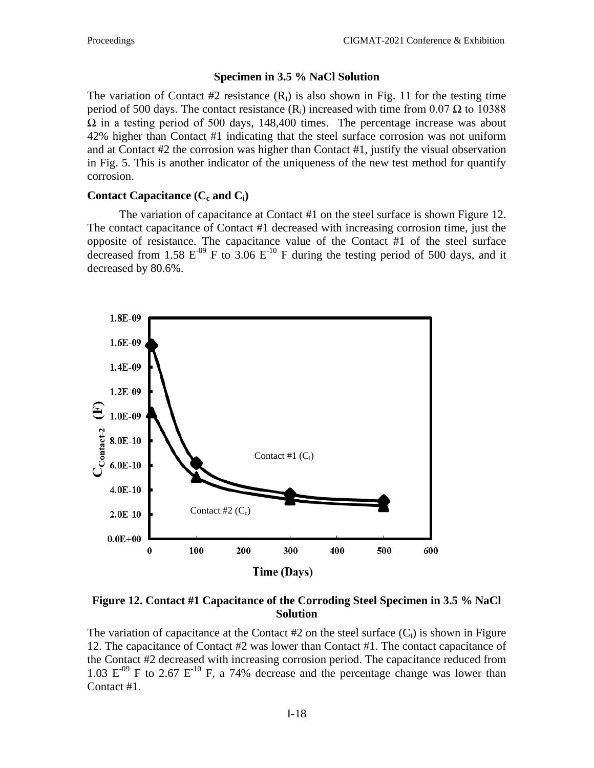# **Specimen in 3.5 % NaCl Solution**

The variation of Contact #2 resistance  $(R_i)$  is also shown in Fig. 11 for the testing time period of 500 days. The contact resistance (R<sub>i</sub>) increased with time from 0.07 Ω to 10388  $\Omega$  in a testing period of 500 days, 148,400 times. The percentage increase was about 42% higher than Contact #1 indicating that the steel surface corrosion was not uniform and at Contact #2 the corrosion was higher than Contact #1, justify the visual observation in Fig. 5. This is another indicator of the uniqueness of the new test method for quantify corrosion.

#### **Contact Capacitance (C<sup>c</sup> and Ci)**

 The variation of capacitance at Contact #1 on the steel surface is shown Figure 12. The contact capacitance of Contact #1 decreased with increasing corrosion time, just the opposite of resistance. The capacitance value of the Contact #1 of the steel surface decreased from 1.58  $E^{-09}$  F to 3.06  $E^{-10}$  F during the testing period of 500 days, and it decreased by 80.6%.



**Figure 12. Contact #1 Capacitance of the Corroding Steel Specimen in 3.5 % NaCl Solution**

The variation of capacitance at the Contact  $#2$  on the steel surface  $(C_i)$  is shown in Figure 12. The capacitance of Contact #2 was lower than Contact #1. The contact capacitance of the Contact #2 decreased with increasing corrosion period. The capacitance reduced from 1.03  $E^{-09}$  F to 2.67  $E^{-10}$  F, a 74% decrease and the percentage change was lower than Contact #1.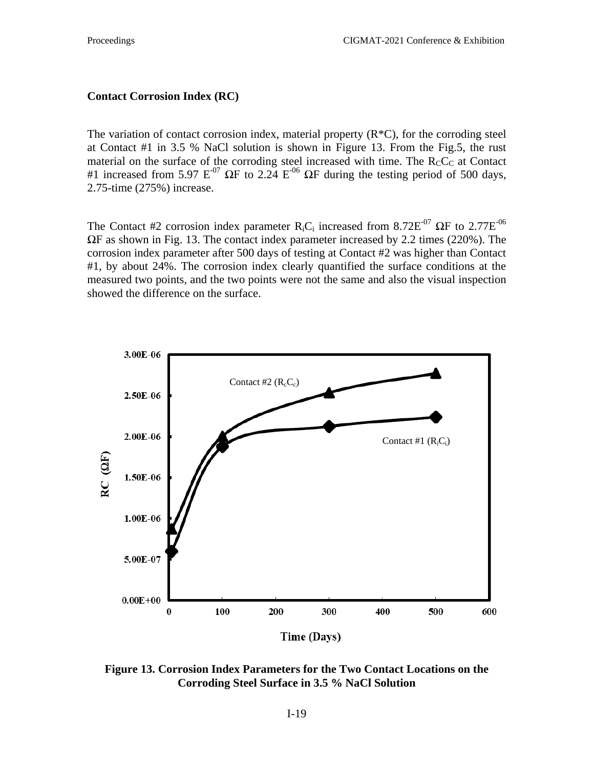#### **Contact Corrosion Index (RC)**

The variation of contact corrosion index, material property  $(R^*C)$ , for the corroding steel at Contact #1 in 3.5 % NaCl solution is shown in Figure 13. From the Fig.5, the rust material on the surface of the corroding steel increased with time. The  $R_{\rm C}C_{\rm C}$  at Contact #1 increased from 5.97  $E^{-07}$   $\Omega$ F to 2.24  $E^{-06}$   $\Omega$ F during the testing period of 500 days, 2.75-time (275%) increase.

The Contact #2 corrosion index parameter  $R_iC_i$  increased from 8.72E<sup>-07</sup>  $\Omega$ F to 2.77E<sup>-06</sup> ΩF as shown in Fig. 13. The contact index parameter increased by 2.2 times (220%). The corrosion index parameter after 500 days of testing at Contact #2 was higher than Contact #1, by about 24%. The corrosion index clearly quantified the surface conditions at the measured two points, and the two points were not the same and also the visual inspection showed the difference on the surface.



**Figure 13. Corrosion Index Parameters for the Two Contact Locations on the Corroding Steel Surface in 3.5 % NaCl Solution**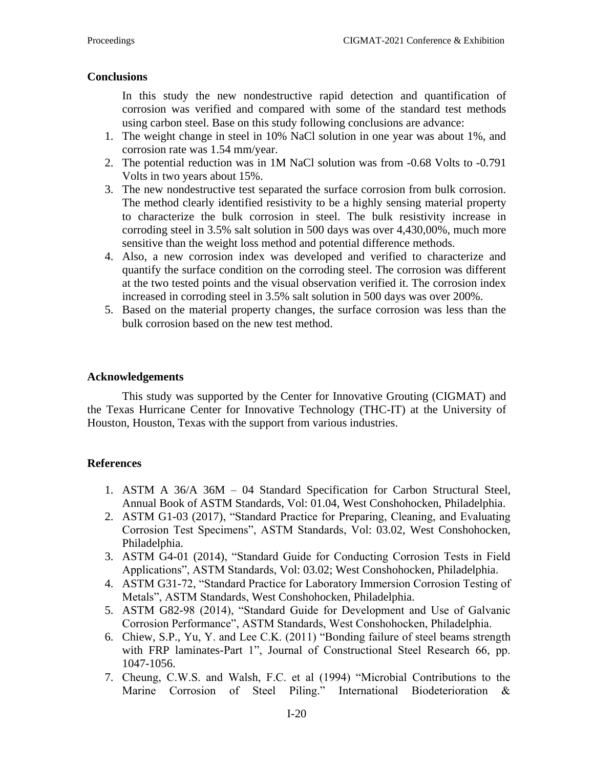# **Conclusions**

In this study the new nondestructive rapid detection and quantification of corrosion was verified and compared with some of the standard test methods using carbon steel. Base on this study following conclusions are advance:

- 1. The weight change in steel in 10% NaCl solution in one year was about 1%, and corrosion rate was 1.54 mm/year.
- 2. The potential reduction was in 1M NaCl solution was from -0.68 Volts to -0.791 Volts in two years about 15%.
- 3. The new nondestructive test separated the surface corrosion from bulk corrosion. The method clearly identified resistivity to be a highly sensing material property to characterize the bulk corrosion in steel. The bulk resistivity increase in corroding steel in 3.5% salt solution in 500 days was over 4,430,00%, much more sensitive than the weight loss method and potential difference methods.
- 4. Also, a new corrosion index was developed and verified to characterize and quantify the surface condition on the corroding steel. The corrosion was different at the two tested points and the visual observation verified it. The corrosion index increased in corroding steel in 3.5% salt solution in 500 days was over 200%.
- 5. Based on the material property changes, the surface corrosion was less than the bulk corrosion based on the new test method.

#### **Acknowledgements**

This study was supported by the Center for Innovative Grouting (CIGMAT) and the Texas Hurricane Center for Innovative Technology (THC-IT) at the University of Houston, Houston, Texas with the support from various industries.

# **References**

- 1. ASTM A 36/A 36M 04 Standard Specification for Carbon Structural Steel, Annual Book of ASTM Standards, Vol: 01.04, West Conshohocken, Philadelphia.
- 2. ASTM G1-03 (2017), "Standard Practice for Preparing, Cleaning, and Evaluating Corrosion Test Specimens", ASTM Standards, Vol: 03.02, West Conshohocken, Philadelphia.
- 3. ASTM G4-01 (2014), "Standard Guide for Conducting Corrosion Tests in Field Applications", ASTM Standards, Vol: 03.02; West Conshohocken, Philadelphia.
- 4. ASTM G31-72, "Standard Practice for Laboratory Immersion Corrosion Testing of Metals", ASTM Standards, West Conshohocken, Philadelphia.
- 5. ASTM G82-98 (2014), "Standard Guide for Development and Use of Galvanic Corrosion Performance", ASTM Standards, West Conshohocken, Philadelphia.
- 6. Chiew, S.P., Yu, Y. and Lee C.K. (2011) "Bonding failure of steel beams strength with FRP laminates-Part 1", Journal of Constructional Steel Research 66, pp. 1047-1056.
- 7. Cheung, C.W.S. and Walsh, F.C. et al (1994) "Microbial Contributions to the Marine Corrosion of Steel Piling." International Biodeterioration &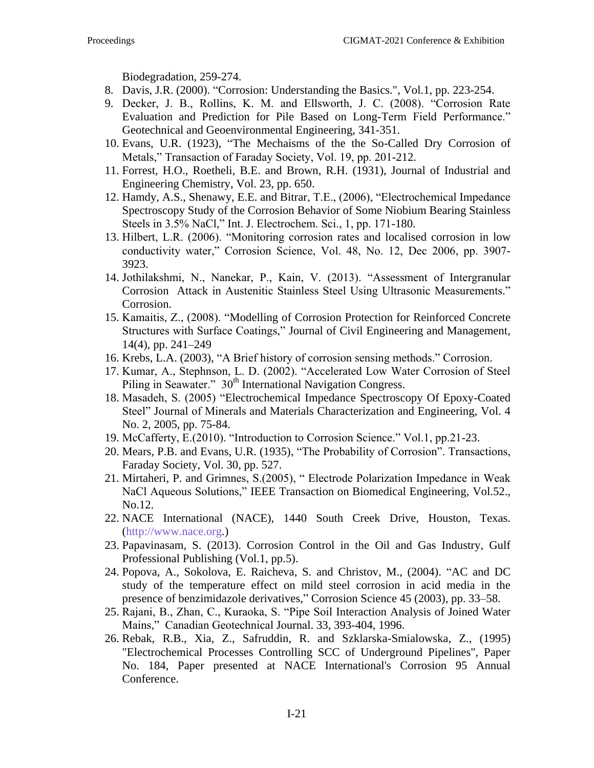Biodegradation, 259-274.

- 8. Davis, J.R. (2000). "Corrosion: Understanding the Basics.", Vol.1, pp. 223-254.
- 9. Decker, J. B., Rollins, K. M. and Ellsworth, J. C. (2008). "Corrosion Rate Evaluation and Prediction for Pile Based on Long-Term Field Performance." Geotechnical and Geoenvironmental Engineering, 341-351.
- 10. Evans, U.R. (1923), "The Mechaisms of the the So-Called Dry Corrosion of Metals," Transaction of Faraday Society, Vol. 19, pp. 201-212.
- 11. Forrest, H.O., Roetheli, B.E. and Brown, R.H. (1931), Journal of Industrial and Engineering Chemistry, Vol. 23, pp. 650.
- 12. Hamdy, A.S., Shenawy, E.E. and Bitrar, T.E., (2006), "Electrochemical Impedance Spectroscopy Study of the Corrosion Behavior of Some Niobium Bearing Stainless Steels in 3.5% NaCl," Int. J. Electrochem. Sci., 1, pp. 171-180.
- 13. Hilbert, L.R. (2006). "Monitoring corrosion rates and localised corrosion in low conductivity water," Corrosion Science, Vol. 48, No. 12, Dec 2006, pp. 3907- 3923.
- 14. Jothilakshmi, N., Nanekar, P., Kain, V. (2013). "Assessment of Intergranular Corrosion Attack in Austenitic Stainless Steel Using Ultrasonic Measurements." Corrosion.
- 15. Kamaitis, Z., (2008). "Modelling of Corrosion Protection for Reinforced Concrete Structures with Surface Coatings," Journal of Civil Engineering and Management*,*  14(4), pp. 241–249
- 16. Krebs, L.A. (2003), "A Brief history of corrosion sensing methods." Corrosion.
- 17. Kumar, A., Stephnson, L. D. (2002). "Accelerated Low Water Corrosion of Steel Piling in Seawater."  $30<sup>th</sup>$  International Navigation Congress.
- 18. Masadeh, S. (2005) "Electrochemical Impedance Spectroscopy Of Epoxy-Coated Steel" Journal of Minerals and Materials Characterization and Engineering, Vol. 4 No. 2, 2005, pp. 75-84.
- 19. McCafferty, E.(2010). "Introduction to Corrosion Science." Vol.1, pp.21-23.
- 20. Mears, P.B. and Evans, U.R. (1935), "The Probability of Corrosion". Transactions, Faraday Society, Vol. 30, pp. 527.
- 21. Mirtaheri, P. and Grimnes, S.(2005), " Electrode Polarization Impedance in Weak NaCl Aqueous Solutions," IEEE Transaction on Biomedical Engineering*,* Vol.52., No.12.
- 22. NACE International (NACE), 1440 South Creek Drive, Houston, Texas. [\(http://www.nace.org.](http://www.nace.org/))
- 23. Papavinasam, S. (2013). Corrosion Control in the Oil and Gas Industry, Gulf Professional Publishing (Vol.1, pp.5).
- 24. Popova, A., Sokolova, E. Raicheva, S. and Christov, M., (2004). "AC and DC study of the temperature effect on mild steel corrosion in acid media in the presence of benzimidazole derivatives," Corrosion Science 45 (2003), pp. 33–58.
- 25. Rajani, B., Zhan, C., Kuraoka, S. "Pipe Soil Interaction Analysis of Joined Water Mains," Canadian Geotechnical Journal. 33, 393-404, 1996.
- 26. Rebak, R.B., Xia, Z., Safruddin, R. and Szklarska-Smialowska, Z., (1995) "Electrochemical Processes Controlling SCC of Underground Pipelines", Paper No. 184, Paper presented at NACE International's Corrosion 95 Annual Conference.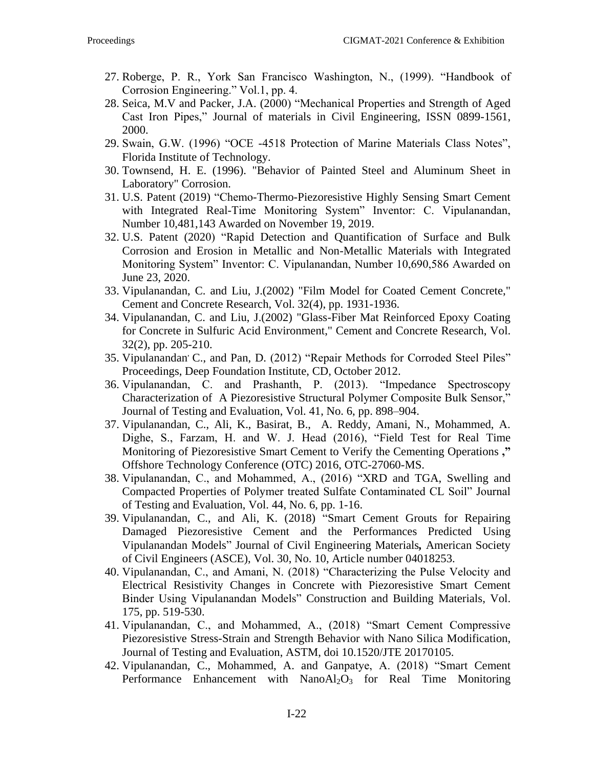- 27. Roberge, P. R., York San Francisco Washington, N., (1999). "Handbook of Corrosion Engineering." Vol.1, pp. 4.
- 28. Seica, M.V and Packer, J.A. (2000) "Mechanical Properties and Strength of Aged Cast Iron Pipes," Journal of materials in Civil Engineering, ISSN 0899-1561, 2000.
- 29. Swain, G.W. (1996) "OCE -4518 Protection of Marine Materials Class Notes", Florida Institute of Technology.
- 30. Townsend, H. E. (1996). "Behavior of Painted Steel and Aluminum Sheet in Laboratory" Corrosion.
- 31. U.S. Patent (2019) "Chemo-Thermo-Piezoresistive Highly Sensing Smart Cement with Integrated Real-Time Monitoring System" Inventor: C. Vipulanandan, Number 10,481,143 Awarded on November 19, 2019.
- 32. U.S. Patent (2020) "Rapid Detection and Quantification of Surface and Bulk Corrosion and Erosion in Metallic and Non-Metallic Materials with Integrated Monitoring System" Inventor: C. Vipulanandan, Number 10,690,586 Awarded on June 23, 2020.
- 33. Vipulanandan, C. and Liu, J.(2002) "Film Model for Coated Cement Concrete," Cement and Concrete Research, Vol. 32(4), pp. 1931-1936.
- 34. Vipulanandan, C. and Liu, J.(2002) "Glass-Fiber Mat Reinforced Epoxy Coating for Concrete in Sulfuric Acid Environment," Cement and Concrete Research, Vol. 32(2), pp. 205-210.
- 35. Vipulanandan, C., and Pan, D. (2012) "Repair Methods for Corroded Steel Piles" Proceedings, Deep Foundation Institute, CD, October 2012.
- 36. Vipulanandan, C. and Prashanth, P. (2013). "Impedance Spectroscopy Characterization of A Piezoresistive Structural Polymer Composite Bulk Sensor," Journal of Testing and Evaluation, Vol. 41, No. 6, pp. 898–904.
- 37. Vipulanandan, C., Ali, K., Basirat, B., A. Reddy, Amani, N., Mohammed, A. Dighe, S., Farzam, H. and W. J. Head (2016), "Field Test for Real Time Monitoring of Piezoresistive Smart Cement to Verify the Cementing Operations **,"** Offshore Technology Conference (OTC) 2016, OTC-27060-MS.
- 38. Vipulanandan, C., and Mohammed, A., (2016) "XRD and TGA, Swelling and Compacted Properties of Polymer treated Sulfate Contaminated CL Soil" Journal of Testing and Evaluation, Vol. 44, No. 6, pp. 1-16.
- 39. Vipulanandan, C., and Ali, K. (2018) "Smart Cement Grouts for Repairing Damaged Piezoresistive Cement and the Performances Predicted Using Vipulanandan Models" Journal of Civil Engineering Materials*,* American Society of Civil Engineers (ASCE), Vol. 30, No. 10, Article number 04018253.
- 40. Vipulanandan, C., and Amani, N. (2018) "Characterizing the Pulse Velocity and Electrical Resistivity Changes in Concrete with Piezoresistive Smart Cement Binder Using Vipulanandan Models" Construction and Building Materials, Vol. 175, pp. 519-530.
- 41. Vipulanandan, C., and Mohammed, A., (2018) "Smart Cement Compressive Piezoresistive Stress-Strain and Strength Behavior with Nano Silica Modification, Journal of Testing and Evaluation, ASTM, doi 10.1520/JTE 20170105.
- 42. Vipulanandan, C., Mohammed, A. and Ganpatye, A. (2018) "Smart Cement Performance Enhancement with  $NanoAl<sub>2</sub>O<sub>3</sub>$  for Real Time Monitoring